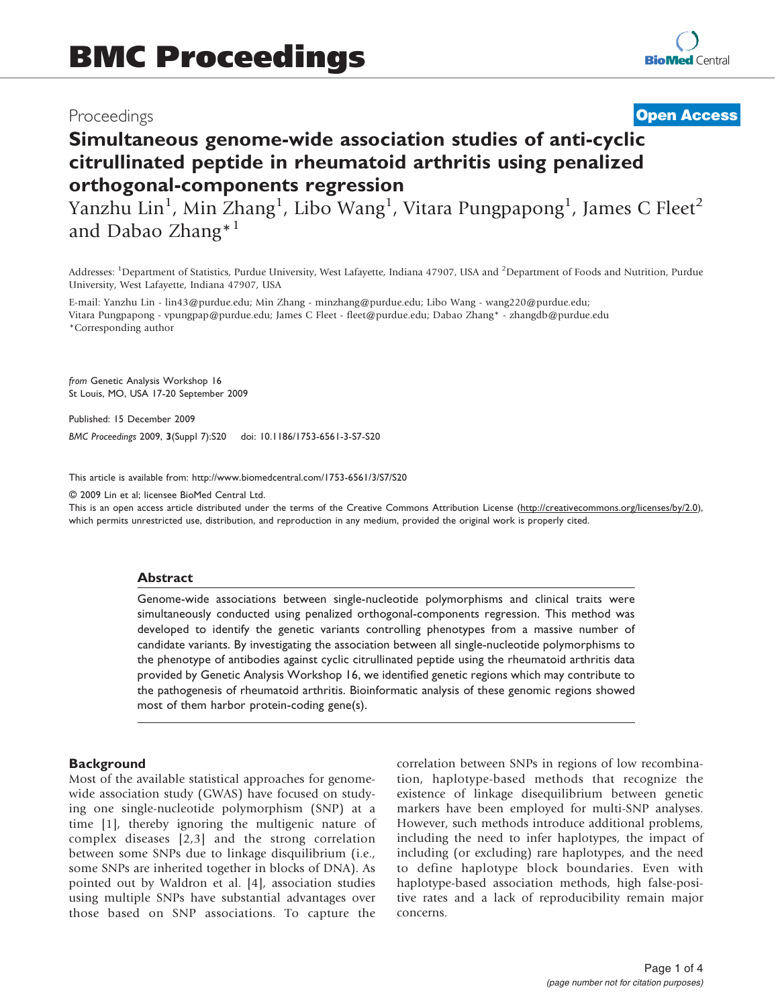## Proceedings

## **[Open Access](http://www.biomedcentral.com/info/about/charter/)**

# Simultaneous genome-wide association studies of anti-cyclic citrullinated peptide in rheumatoid arthritis using penalized orthogonal-components regression

Yanzhu Lin<sup>1</sup>, Min Zhang<sup>1</sup>, Libo Wang<sup>1</sup>, Vitara Pungpapong<sup>1</sup>, James C Fleet<sup>2</sup> and Dabao Zhang\*<sup>1</sup>

Addresses: <sup>1</sup>Department of Statistics, Purdue University, West Lafayette, Indiana 47907, USA and <sup>2</sup>Department of Foods and Nutrition, Purdue University, West Lafayette, Indiana 47907, USA

E-mail: Yanzhu Lin - [lin43@purdue.edu](mailto:lin43@purdue.edu); Min Zhang - [minzhang@purdue.edu](mailto:minzhang@purdue.edu); Libo Wang - [wang220@purdue.edu](mailto:wang220@purdue.edu); Vitara Pungpapong - [vpungpap@purdue.edu](mailto:vpungpap@purdue.edu); James C Fleet - [fleet@purdue.edu;](mailto:fleet@purdue.edu) Dabao Zhang\* - [zhangdb@purdue.edu](mailto:zhangdb@purdue.edu) \*Corresponding author

from Genetic Analysis Workshop 16 St Louis, MO, USA 17-20 September 2009

Published: 15 December 2009

BMC Proceedings 2009, 3(Suppl 7):S20 doi: 10.1186/1753-6561-3-S7-S20

This article is available from: http://www.biomedcentral.com/1753-6561/3/S7/S20

© 2009 Lin et al; licensee BioMed Central Ltd.

This is an open access article distributed under the terms of the Creative Commons Attribution License [\(http://creativecommons.org/licenses/by/2.0\)](http://creativecommons.org/licenses/by/2.0), which permits unrestricted use, distribution, and reproduction in any medium, provided the original work is properly cited.

#### Abstract

Genome-wide associations between single-nucleotide polymorphisms and clinical traits were simultaneously conducted using penalized orthogonal-components regression. This method was developed to identify the genetic variants controlling phenotypes from a massive number of candidate variants. By investigating the association between all single-nucleotide polymorphisms to the phenotype of antibodies against cyclic citrullinated peptide using the rheumatoid arthritis data provided by Genetic Analysis Workshop 16, we identified genetic regions which may contribute to the pathogenesis of rheumatoid arthritis. Bioinformatic analysis of these genomic regions showed most of them harbor protein-coding gene(s).

#### **Background**

Most of the available statistical approaches for genomewide association study (GWAS) have focused on studying one single-nucleotide polymorphism (SNP) at a time [\[1\]](#page-2-0), thereby ignoring the multigenic nature of complex diseases [[2,](#page-2-0)[3](#page-3-0)] and the strong correlation between some SNPs due to linkage disquilibrium (i.e., some SNPs are inherited together in blocks of DNA). As pointed out by Waldron et al. [[4](#page-3-0)], association studies using multiple SNPs have substantial advantages over those based on SNP associations. To capture the correlation between SNPs in regions of low recombination, haplotype-based methods that recognize the existence of linkage disequilibrium between genetic markers have been employed for multi-SNP analyses. However, such methods introduce additional problems, including the need to infer haplotypes, the impact of including (or excluding) rare haplotypes, and the need to define haplotype block boundaries. Even with haplotype-based association methods, high false-positive rates and a lack of reproducibility remain major concerns.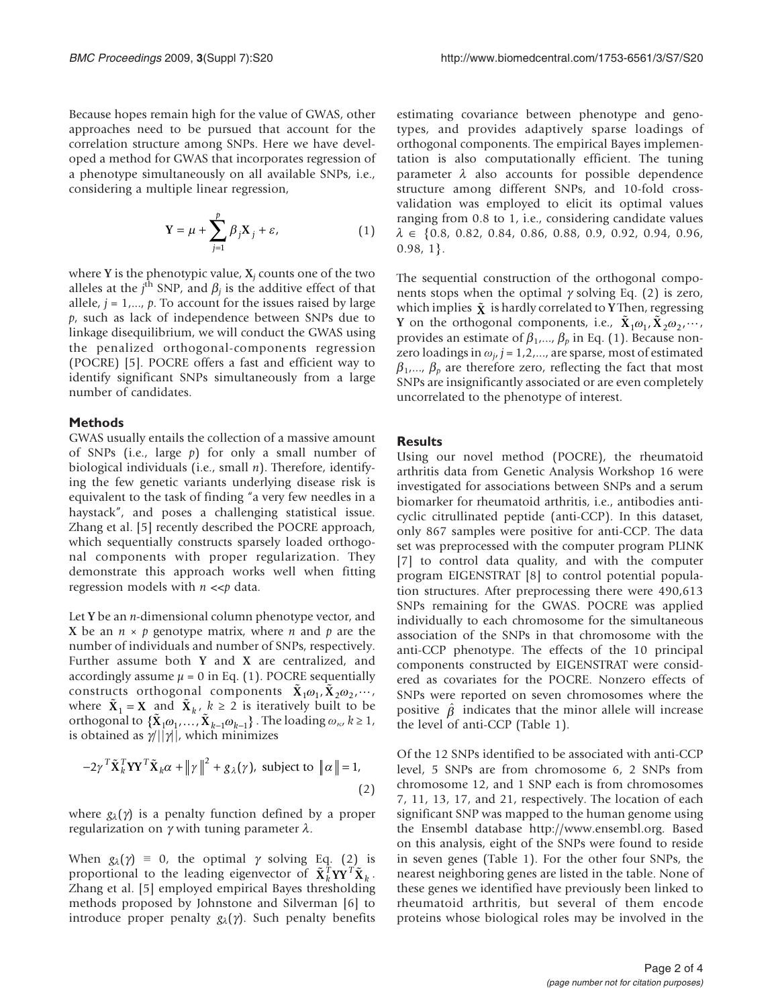Because hopes remain high for the value of GWAS, other approaches need to be pursued that account for the correlation structure among SNPs. Here we have developed a method for GWAS that incorporates regression of a phenotype simultaneously on all available SNPs, i.e., considering a multiple linear regression,

$$
Y = \mu + \sum_{j=1}^{p} \beta_j X_j + \varepsilon,\tag{1}
$$

where Y is the phenotypic value,  $X_i$  counts one of the two alleles at the j<sup>th</sup> SNP, and  $\beta_j$  is the additive effect of that allele  $j-1$ , the account for the issues raised by large allele,  $j = 1, \ldots, p$ . To account for the issues raised by large p, such as lack of independence between SNPs due to linkage disequilibrium, we will conduct the GWAS using the penalized orthogonal-components regression (POCRE) [\[5\]](#page-3-0). POCRE offers a fast and efficient way to identify significant SNPs simultaneously from a large number of candidates.

#### Methods

GWAS usually entails the collection of a massive amount of SNPs (i.e., large  $p$ ) for only a small number of biological individuals (i.e., small n). Therefore, identifying the few genetic variants underlying disease risk is equivalent to the task of finding "a very few needles in a haystack", and poses a challenging statistical issue. Zhang et al. [[5](#page-3-0)] recently described the POCRE approach, which sequentially constructs sparsely loaded orthogonal components with proper regularization. They demonstrate this approach works well when fitting regression models with  $n \ll p$  data.

Let Y be an *n*-dimensional column phenotype vector, and X be an  $n \times p$  genotype matrix, where *n* and *p* are the number of individuals and number of SNPs, respectively. Further assume both Y and X are centralized, and accordingly assume  $\mu = 0$  in Eq. (1). POCRE sequentially constructs orthogonal components  $\tilde{\mathbf{X}}_1 \omega_1, \tilde{\mathbf{X}}_2 \omega_2, \cdots$ , where  $\tilde{\mathbf{X}}_1 = \mathbf{X}$  and  $\tilde{\mathbf{X}}_k$ ,  $k \geq 2$  is iteratively built to be orthogonal to  $\{X_1 \omega_1, \ldots, X_{k-1} \omega_{k-1}\}\.$  The loading  $\omega_{\kappa}, k \geq 1$ , is obtained as  $\gamma/||\gamma||$ , which minimizes

$$
-2\gamma^T \tilde{\mathbf{X}}_k^T \mathbf{Y} \mathbf{Y}^T \tilde{\mathbf{X}}_k \alpha + ||\gamma||^2 + g_\lambda(\gamma), \text{ subject to } ||\alpha|| = 1,
$$
\n(2)

where  $g_{\lambda}(\gamma)$  is a penalty function defined by a proper regularization on  $\gamma$  with tuning parameter  $\lambda$ .

When  $g_{\lambda}(\gamma) = 0$ , the optimal  $\gamma$  solving Eq. (2) is proportional to the leading eigenvector of  $\tilde{\mathbf{X}}_k^T \mathbf{Y} \mathbf{Y}^T \tilde{\mathbf{X}}_k$ . Zhang et al. [\[5\]](#page-3-0) employed empirical Bayes thresholding methods proposed by Johnstone and Silverman [\[6\]](#page-3-0) to introduce proper penalty  $g_{\lambda}(\gamma)$ . Such penalty benefits

estimating covariance between phenotype and genotypes, and provides adaptively sparse loadings of orthogonal components. The empirical Bayes implementation is also computationally efficient. The tuning parameter  $\lambda$  also accounts for possible dependence structure among different SNPs, and 10-fold crossvalidation was employed to elicit its optimal values ranging from 0.8 to 1, i.e., considering candidate values  $\lambda \in \{0.8, 0.82, 0.84, 0.86, 0.88, 0.9, 0.92, 0.94, 0.96,$  $0.98, 1$ .

The sequential construction of the orthogonal components stops when the optimal  $\gamma$  solving Eq. (2) is zero, which implies  $\tilde{\mathbf{x}}$  is hardly correlated to **Y** Then, regressing Y on the orthogonal components, i.e.,  $\tilde{\mathbf{X}}_1 \omega_1, \tilde{\mathbf{X}}_2 \omega_2, \cdots$ , provides an estimate of  $\beta_1, \dots, \beta_p$  in Eq. (1). Because nonzero loadings in  $\omega_{i}$ , j = 1,2,..., are sparse, most of estimated  $\beta_1$ ,...,  $\beta_p$  are therefore zero, reflecting the fact that most SNPs are insignificantly associated or are even completely uncorrelated to the phenotype of interest.

#### Results

Using our novel method (POCRE), the rheumatoid arthritis data from Genetic Analysis Workshop 16 were investigated for associations between SNPs and a serum biomarker for rheumatoid arthritis, i.e., antibodies anticyclic citrullinated peptide (anti-CCP). In this dataset, only 867 samples were positive for anti-CCP. The data set was preprocessed with the computer program PLINK [[7](#page-3-0)] to control data quality, and with the computer program EIGENSTRAT [[8](#page-3-0)] to control potential population structures. After preprocessing there were 490,613 SNPs remaining for the GWAS. POCRE was applied individually to each chromosome for the simultaneous association of the SNPs in that chromosome with the anti-CCP phenotype. The effects of the 10 principal components constructed by EIGENSTRAT were considered as covariates for the POCRE. Nonzero effects of SNPs were reported on seven chromosomes where the positive  $\hat{\beta}$  indicates that the minor allele will increase the level of anti-CCP ([Table 1\)](#page-2-0).

Of the 12 SNPs identified to be associated with anti-CCP level, 5 SNPs are from chromosome 6, 2 SNPs from chromosome 12, and 1 SNP each is from chromosomes 7, 11, 13, 17, and 21, respectively. The location of each significant SNP was mapped to the human genome using the Ensembl database<http://www.ensembl.org>. Based on this analysis, eight of the SNPs were found to reside in seven genes ([Table 1\)](#page-2-0). For the other four SNPs, the nearest neighboring genes are listed in the table. None of these genes we identified have previously been linked to rheumatoid arthritis, but several of them encode proteins whose biological roles may be involved in the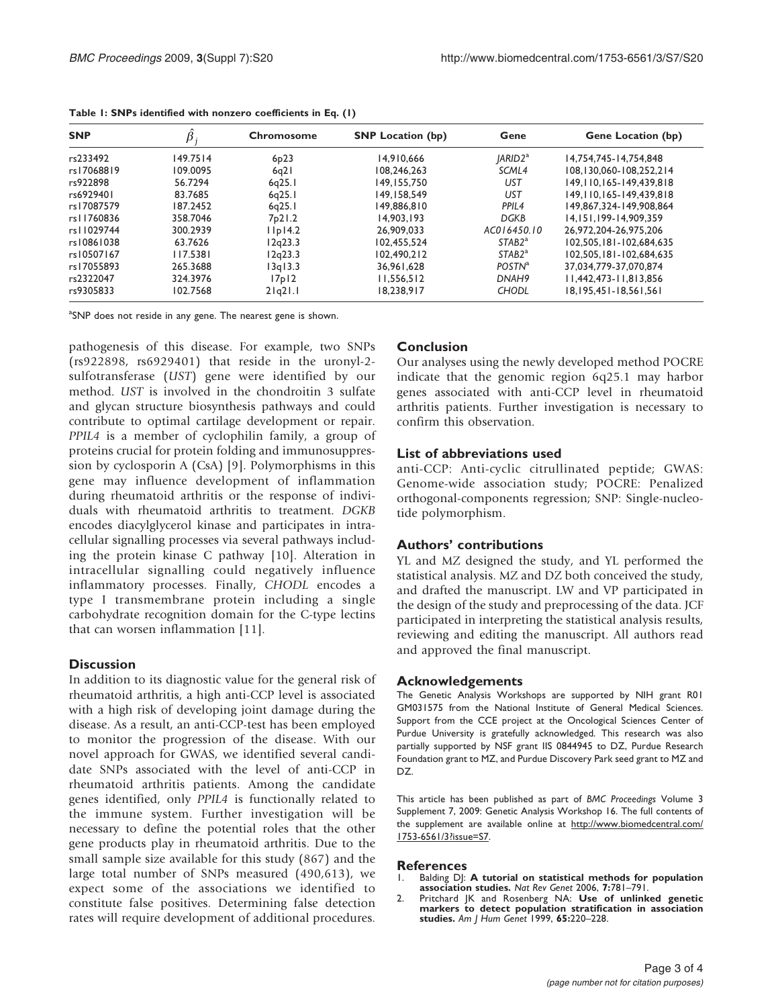| <b>SNP</b> | $\hat{\beta}$ | Chromosome        | <b>SNP</b> Location (bp) | Gene                      | <b>Gene Location (bp)</b>     |
|------------|---------------|-------------------|--------------------------|---------------------------|-------------------------------|
| rs233492   | 149.7514      | 6 <sub>p</sub> 23 | 14,910,666               | $ ARID2^a $               | 14.754.745-14.754.848         |
| rs17068819 | 109.0095      | 6q21              | 108,246,263              | SCML4                     | 108.130.060-108.252.214       |
| rs922898   | 56.7294       | 6q25.1            | 149.155.750              | UST                       | 149, 110, 165 - 149, 439, 818 |
| rs6929401  | 83.7685       | 6q25.1            | 149.158.549              | <b>UST</b>                | 149.110.165-149.439.818       |
| rs17087579 | 187.2452      | 6q25.1            | 149.886.810              | PPIL <sub>4</sub>         | 149.867.324-149.908.864       |
| rs11760836 | 358.7046      | 7p21.2            | 14,903,193               | <b>DGKB</b>               | 14.151.199-14.909.359         |
| rs11029744 | 300.2939      | $I$ $Ip$ $I4.2$   | 26,909,033               | AC016450.10               | 26.972.204-26.975.206         |
| rs10861038 | 63.7626       | l 2q23.3          | 102.455.524              | STAB2 <sup>a</sup>        | 102.505.181-102.684.635       |
| rs10507167 | 117.5381      | 12a23.3           | 102.490.212              | STAB2 <sup>a</sup>        | 102.505.181-102.684.635       |
| rs17055893 | 265.3688      | 3q13.3            | 36,961,628               | <b>POSTN</b> <sup>a</sup> | 37.034.779-37.070.874         |
| rs2322047  | 324.3976      | 17p12             | 11.556.512               | DNAH <sub>9</sub>         | 11.442.473-11.813.856         |
| rs9305833  | 102.7568      | $2 q2 $ .         | 18,238,917               | <b>CHODL</b>              | 18, 195, 451 - 18, 561, 561   |

<span id="page-2-0"></span>Table 1: SNPs identified with nonzero coefficients in Eq. (1)

<sup>a</sup>SNP does not reside in any gene. The nearest gene is shown.

pathogenesis of this disease. For example, two SNPs (rs922898, rs6929401) that reside in the uronyl-2 sulfotransferase (UST) gene were identified by our method. UST is involved in the chondroitin 3 sulfate and glycan structure biosynthesis pathways and could contribute to optimal cartilage development or repair. PPIL4 is a member of cyclophilin family, a group of proteins crucial for protein folding and immunosuppression by cyclosporin A (CsA) [\[9\]](#page-3-0). Polymorphisms in this gene may influence development of inflammation during rheumatoid arthritis or the response of individuals with rheumatoid arthritis to treatment. DGKB encodes diacylglycerol kinase and participates in intracellular signalling processes via several pathways including the protein kinase C pathway [[10\]](#page-3-0). Alteration in intracellular signalling could negatively influence inflammatory processes. Finally, CHODL encodes a type I transmembrane protein including a single carbohydrate recognition domain for the C-type lectins that can worsen inflammation [[11\]](#page-3-0).

## **Discussion**

In addition to its diagnostic value for the general risk of rheumatoid arthritis, a high anti-CCP level is associated with a high risk of developing joint damage during the disease. As a result, an anti-CCP-test has been employed to monitor the progression of the disease. With our novel approach for GWAS, we identified several candidate SNPs associated with the level of anti-CCP in rheumatoid arthritis patients. Among the candidate genes identified, only PPIL4 is functionally related to the immune system. Further investigation will be necessary to define the potential roles that the other gene products play in rheumatoid arthritis. Due to the small sample size available for this study (867) and the large total number of SNPs measured (490,613), we expect some of the associations we identified to constitute false positives. Determining false detection rates will require development of additional procedures.

## Conclusion

Our analyses using the newly developed method POCRE indicate that the genomic region 6q25.1 may harbor genes associated with anti-CCP level in rheumatoid arthritis patients. Further investigation is necessary to confirm this observation.

### List of abbreviations used

anti-CCP: Anti-cyclic citrullinated peptide; GWAS: Genome-wide association study; POCRE: Penalized orthogonal-components regression; SNP: Single-nucleotide polymorphism.

## Authors' contributions

YL and MZ designed the study, and YL performed the statistical analysis. MZ and DZ both conceived the study, and drafted the manuscript. LW and VP participated in the design of the study and preprocessing of the data. JCF participated in interpreting the statistical analysis results, reviewing and editing the manuscript. All authors read and approved the final manuscript.

### Acknowledgements

The Genetic Analysis Workshops are supported by NIH grant R01 GM031575 from the National Institute of General Medical Sciences. Support from the CCE project at the Oncological Sciences Center of Purdue University is gratefully acknowledged. This research was also partially supported by NSF grant IIS 0844945 to DZ, Purdue Research Foundation grant to MZ, and Purdue Discovery Park seed grant to MZ and DZ.

This article has been published as part of BMC Proceedings Volume 3 Supplement 7, 2009: Genetic Analysis Workshop 16. The full contents of the supplement are available online at [http://www.biomedcentral.com/](http://www.biomedcentral.com/1753-6561/3?issue=S7) [1753-6561/3?issue=S7](http://www.biomedcentral.com/1753-6561/3?issue=S7).

# **References**<br>1. Balding DI:

- Balding DJ: [A tutorial on statistical methods for population](http://www.ncbi.nlm.nih.gov/pubmed/16983374?dopt=Abstract) [association studies.](http://www.ncbi.nlm.nih.gov/pubmed/16983374?dopt=Abstract) Nat Rev Genet 2006, 7:781–791.
- 2. Pritchard JK and Rosenberg NA: [Use of unlinked genetic](http://www.ncbi.nlm.nih.gov/pubmed/10364535?dopt=Abstract) [markers to detect population stratification in association](http://www.ncbi.nlm.nih.gov/pubmed/10364535?dopt=Abstract) [studies.](http://www.ncbi.nlm.nih.gov/pubmed/10364535?dopt=Abstract) Am J Hum Genet 1999, 65:220–228.